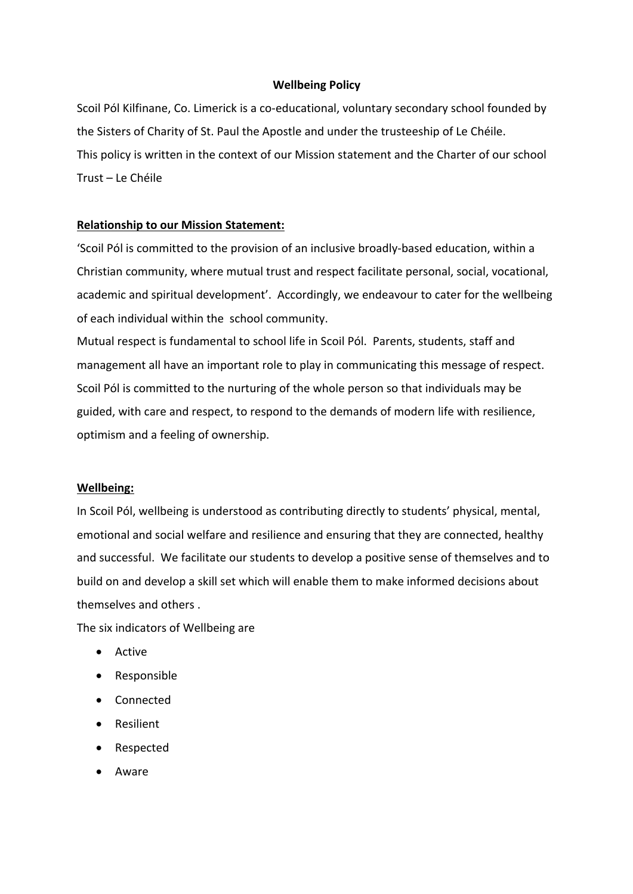#### **Wellbeing Policy**

Scoil Pól Kilfinane, Co. Limerick is a co-educational, voluntary secondary school founded by the Sisters of Charity of St. Paul the Apostle and under the trusteeship of Le Chéile. This policy is written in the context of our Mission statement and the Charter of our school Trust – Le Chéile

### **Relationship to our Mission Statement:**

'Scoil Pól is committed to the provision of an inclusive broadly-based education, within a Christian community, where mutual trust and respect facilitate personal, social, vocational, academic and spiritual development'. Accordingly, we endeavour to cater for the wellbeing of each individual within the school community.

Mutual respect is fundamental to school life in Scoil Pól. Parents, students, staff and management all have an important role to play in communicating this message of respect. Scoil Pól is committed to the nurturing of the whole person so that individuals may be guided, with care and respect, to respond to the demands of modern life with resilience, optimism and a feeling of ownership.

#### **Wellbeing:**

In Scoil Pól, wellbeing is understood as contributing directly to students' physical, mental, emotional and social welfare and resilience and ensuring that they are connected, healthy and successful. We facilitate our students to develop a positive sense of themselves and to build on and develop a skill set which will enable them to make informed decisions about themselves and others .

The six indicators of Wellbeing are

- Active
- Responsible
- Connected
- Resilient
- Respected
- Aware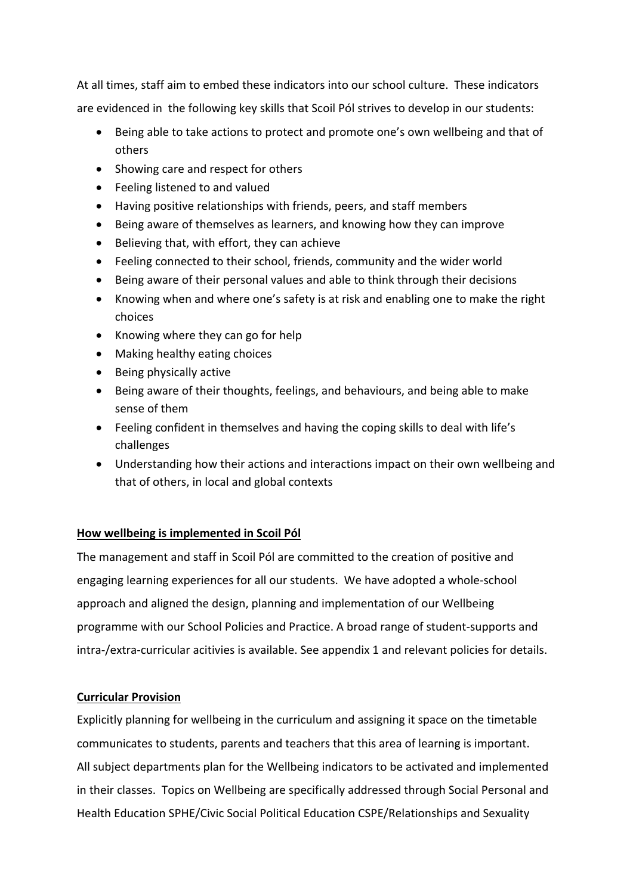At all times, staff aim to embed these indicators into our school culture. These indicators are evidenced in the following key skills that Scoil Pól strives to develop in our students:

- Being able to take actions to protect and promote one's own wellbeing and that of others
- Showing care and respect for others
- Feeling listened to and valued
- Having positive relationships with friends, peers, and staff members
- Being aware of themselves as learners, and knowing how they can improve
- Believing that, with effort, they can achieve
- Feeling connected to their school, friends, community and the wider world
- Being aware of their personal values and able to think through their decisions
- Knowing when and where one's safety is at risk and enabling one to make the right choices
- Knowing where they can go for help
- Making healthy eating choices
- Being physically active
- Being aware of their thoughts, feelings, and behaviours, and being able to make sense of them
- Feeling confident in themselves and having the coping skills to deal with life's challenges
- Understanding how their actions and interactions impact on their own wellbeing and that of others, in local and global contexts

# **How wellbeing is implemented in Scoil Pól**

The management and staff in Scoil Pól are committed to the creation of positive and engaging learning experiences for all our students. We have adopted a whole-school approach and aligned the design, planning and implementation of our Wellbeing programme with our School Policies and Practice. A broad range of student-supports and intra-/extra-curricular acitivies is available. See appendix 1 and relevant policies for details.

# **Curricular Provision**

Explicitly planning for wellbeing in the curriculum and assigning it space on the timetable communicates to students, parents and teachers that this area of learning is important. All subject departments plan for the Wellbeing indicators to be activated and implemented in their classes.Topics on Wellbeing are specifically addressed through Social Personal and Health Education SPHE/Civic Social Political Education CSPE/Relationships and Sexuality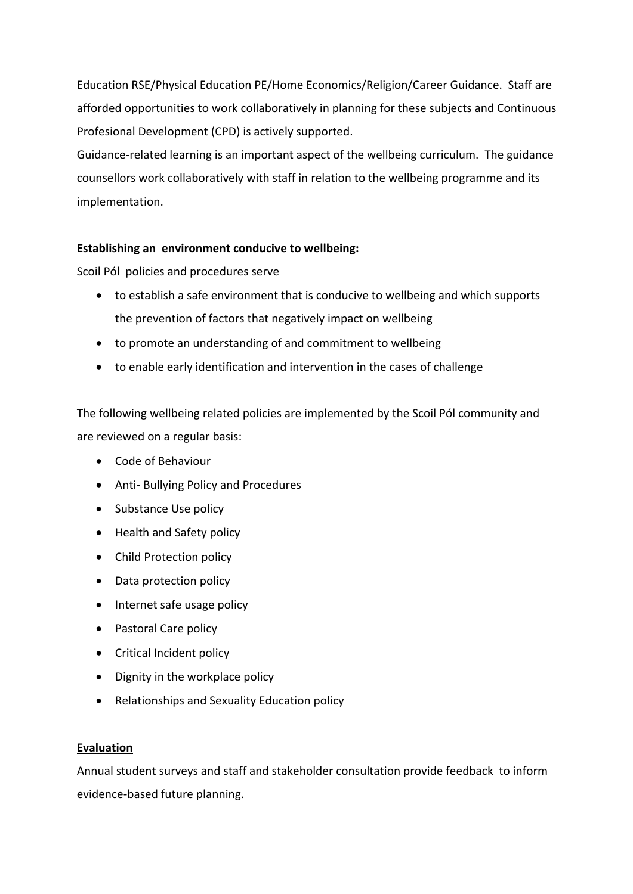Education RSE/Physical Education PE/Home Economics/Religion/Career Guidance. Staff are afforded opportunities to work collaboratively in planning for these subjects and Continuous Profesional Development (CPD) is actively supported.

Guidance-related learning is an important aspect of the wellbeing curriculum. The guidance counsellors work collaboratively with staff in relation to the wellbeing programme and its implementation.

# **Establishing an environment conducive to wellbeing:**

Scoil Pól policies and procedures serve

- to establish a safe environment that is conducive to wellbeing and which supports the prevention of factors that negatively impact on wellbeing
- to promote an understanding of and commitment to wellbeing
- to enable early identification and intervention in the cases of challenge

The following wellbeing related policies are implemented by the Scoil Pól community and are reviewed on a regular basis:

- Code of Behaviour
- Anti- Bullying Policy and Procedures
- Substance Use policy
- Health and Safety policy
- Child Protection policy
- Data protection policy
- Internet safe usage policy
- Pastoral Care policy
- Critical Incident policy
- Dignity in the workplace policy
- Relationships and Sexuality Education policy

# **Evaluation**

Annual student surveys and staff and stakeholder consultation provide feedback to inform evidence-based future planning.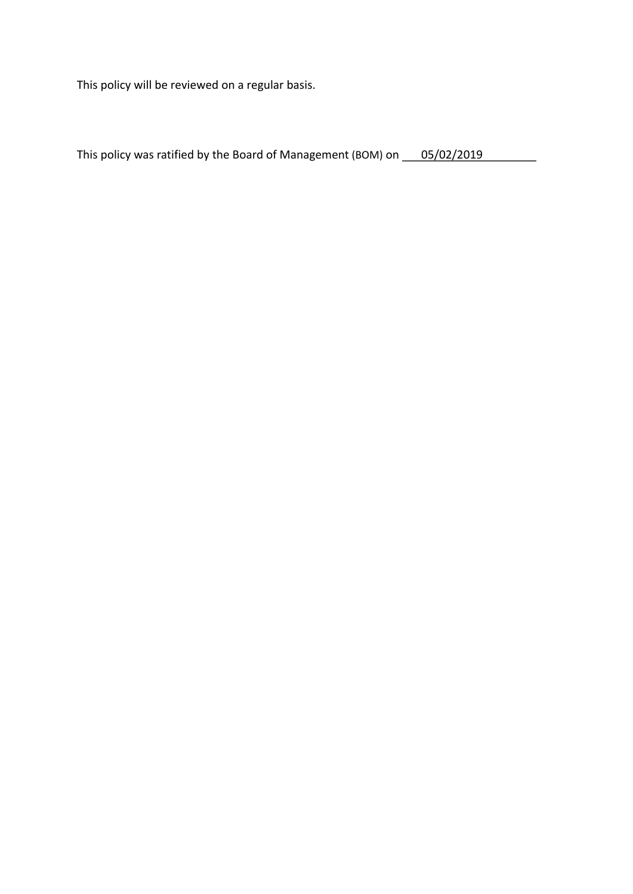This policy will be reviewed on a regular basis.

| This policy was ratified by the Board of Management (BOM) on | 05/02/2019 |  |
|--------------------------------------------------------------|------------|--|
|--------------------------------------------------------------|------------|--|